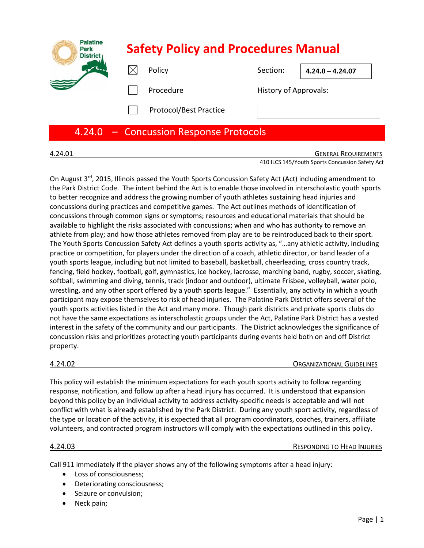| <b>Palatine</b><br><b>Park</b><br><b>District</b> | <b>Safety Policy and Procedures Manual</b> |                               |                              |                    |
|---------------------------------------------------|--------------------------------------------|-------------------------------|------------------------------|--------------------|
|                                                   |                                            | Policy                        | Section:                     | $4.24.0 - 4.24.07$ |
|                                                   |                                            | Procedure                     | <b>History of Approvals:</b> |                    |
|                                                   |                                            | <b>Protocol/Best Practice</b> |                              |                    |

# 4.24.0 – Concussion Response Protocols

**GENERAL REQUIREMENTS** 410 ILCS 145/Youth Sports Concussion Safety Act

On August 3<sup>rd</sup>, 2015, Illinois passed the Youth Sports Concussion Safety Act (Act) including amendment to the Park District Code. The intent behind the Act is to enable those involved in interscholastic youth sports to better recognize and address the growing number of youth athletes sustaining head injuries and concussions during practices and competitive games. The Act outlines methods of identification of concussions through common signs or symptoms; resources and educational materials that should be available to highlight the risks associated with concussions; when and who has authority to remove an athlete from play; and how those athletes removed from play are to be reintroduced back to their sport. The Youth Sports Concussion Safety Act defines a youth sports activity as, "…any athletic activity, including practice or competition, for players under the direction of a coach, athletic director, or band leader of a youth sports league, including but not limited to baseball, basketball, cheerleading, cross country track, fencing, field hockey, football, golf, gymnastics, ice hockey, lacrosse, marching band, rugby, soccer, skating, softball, swimming and diving, tennis, track (indoor and outdoor), ultimate Frisbee, volleyball, water polo, wrestling, and any other sport offered by a youth sports league." Essentially, any activity in which a youth participant may expose themselves to risk of head injuries. The Palatine Park District offers several of the youth sports activities listed in the Act and many more. Though park districts and private sports clubs do not have the same expectations as interscholastic groups under the Act, Palatine Park District has a vested interest in the safety of the community and our participants. The District acknowledges the significance of concussion risks and prioritizes protecting youth participants during events held both on and off District property.

4.24.02 ORGANIZATIONAL GUIDELINES

This policy will establish the minimum expectations for each youth sports activity to follow regarding response, notification, and follow up after a head injury has occurred. It is understood that expansion beyond this policy by an individual activity to address activity-specific needs is acceptable and will not conflict with what is already established by the Park District. During any youth sport activity, regardless of the type or location of the activity, it is expected that all program coordinators, coaches, trainers, affiliate volunteers, and contracted program instructors will comply with the expectations outlined in this policy.

## 4.24.03 RESPONDING TO HEAD INJURIES

Call 911 immediately if the player shows any of the following symptoms after a head injury:

- Loss of consciousness;
- Deteriorating consciousness;
- Seizure or convulsion;
- Neck pain;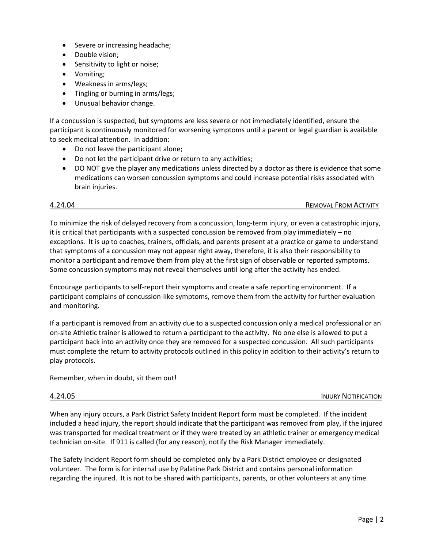- Severe or increasing headache;
- Double vision;
- Sensitivity to light or noise;
- Vomiting;
- Weakness in arms/legs;
- Tingling or burning in arms/legs;
- Unusual behavior change.

If a concussion is suspected, but symptoms are less severe or not immediately identified, ensure the participant is continuously monitored for worsening symptoms until a parent or legal guardian is available to seek medical attention. In addition:

- Do not leave the participant alone;
- Do not let the participant drive or return to any activities;
- DO NOT give the player any medications unless directed by a doctor as there is evidence that some medications can worsen concussion symptoms and could increase potential risks associated with brain injuries.

4.24.04 REMOVAL FROM ACTIVITY

To minimize the risk of delayed recovery from a concussion, long-term injury, or even a catastrophic injury, it is critical that participants with a suspected concussion be removed from play immediately – no exceptions. It is up to coaches, trainers, officials, and parents present at a practice or game to understand that symptoms of a concussion may not appear right away, therefore, it is also their responsibility to monitor a participant and remove them from play at the first sign of observable or reported symptoms. Some concussion symptoms may not reveal themselves until long after the activity has ended.

Encourage participants to self-report their symptoms and create a safe reporting environment. If a participant complains of concussion-like symptoms, remove them from the activity for further evaluation and monitoring.

If a participant is removed from an activity due to a suspected concussion only a medical professional or an on-site Athletic trainer is allowed to return a participant to the activity. No one else is allowed to put a participant back into an activity once they are removed for a suspected concussion. All such participants must complete the return to activity protocols outlined in this policy in addition to their activity's return to play protocols.

Remember, when in doubt, sit them out!

4.24.05 INJURY NOTIFICATION

When any injury occurs, a Park District Safety Incident Report form must be completed. If the incident included a head injury, the report should indicate that the participant was removed from play, if the injured was transported for medical treatment or if they were treated by an athletic trainer or emergency medical technician on-site. If 911 is called (for any reason), notify the Risk Manager immediately.

The Safety Incident Report form should be completed only by a Park District employee or designated volunteer. The form is for internal use by Palatine Park District and contains personal information regarding the injured. It is not to be shared with participants, parents, or other volunteers at any time.